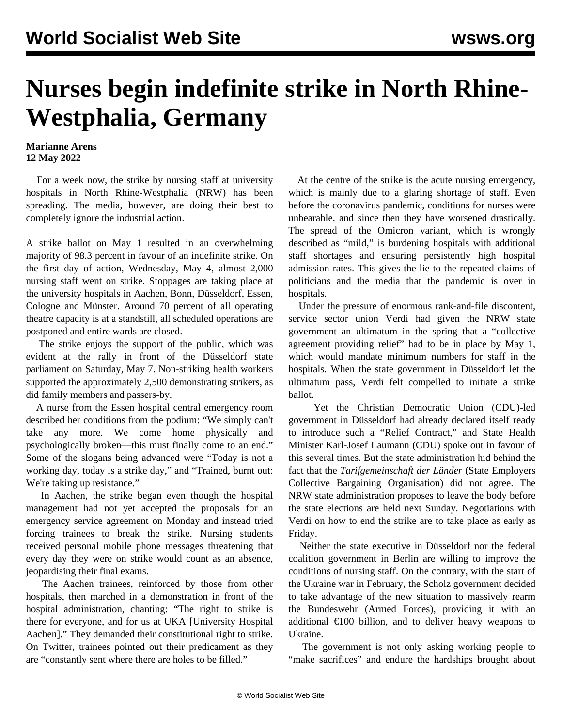## **Nurses begin indefinite strike in North Rhine-Westphalia, Germany**

## **Marianne Arens 12 May 2022**

 For a week now, the strike by nursing staff at university hospitals in North Rhine-Westphalia (NRW) has been spreading. The media, however, are doing their best to completely ignore the industrial action.

A strike ballot on May 1 resulted in an overwhelming majority of 98.3 percent in favour of an indefinite strike. On the first day of action, Wednesday, May 4, almost 2,000 nursing staff went on strike. Stoppages are taking place at the university hospitals in Aachen, Bonn, Düsseldorf, Essen, Cologne and Münster. Around 70 percent of all operating theatre capacity is at a standstill, all scheduled operations are postponed and entire wards are closed.

 The strike enjoys the support of the public, which was evident at the rally in front of the Düsseldorf state parliament on Saturday, May 7. Non-striking health workers supported the approximately 2,500 demonstrating strikers, as did family members and passers-by.

 A nurse from the Essen hospital central emergency room described her conditions from the podium: "We simply can't take any more. We come home physically and psychologically broken—this must finally come to an end." Some of the slogans being advanced were "Today is not a working day, today is a strike day," and "Trained, burnt out: We're taking up resistance."

 In Aachen, the strike began even though the hospital management had not yet accepted the proposals for an emergency service agreement on Monday and instead tried forcing trainees to break the strike. Nursing students received personal mobile phone messages threatening that every day they were on strike would count as an absence, jeopardising their final exams.

 The Aachen trainees, reinforced by those from other hospitals, then marched in a demonstration in front of the hospital administration, chanting: "The right to strike is there for everyone, and for us at UKA [University Hospital Aachen]." They demanded their constitutional right to strike. On Twitter, trainees pointed out their predicament as they are "constantly sent where there are holes to be filled."

 At the centre of the strike is the acute nursing emergency, which is mainly due to a glaring shortage of staff. Even before the coronavirus pandemic, conditions for nurses were unbearable, and since then they have worsened drastically. The spread of the Omicron variant, which is wrongly described as "mild," is burdening hospitals with additional staff shortages and ensuring persistently high hospital admission rates. This gives the lie to the repeated claims of politicians and the media that the pandemic is over in hospitals.

 Under the pressure of enormous rank-and-file discontent, service sector union Verdi had given the NRW state government an ultimatum in the spring that a "collective agreement providing relief" had to be in place by May 1, which would mandate minimum numbers for staff in the hospitals. When the state government in Düsseldorf let the ultimatum pass, Verdi felt compelled to initiate a strike ballot.

 Yet the Christian Democratic Union (CDU)-led government in Düsseldorf had already declared itself ready to introduce such a "Relief Contract," and State Health Minister Karl-Josef Laumann (CDU) spoke out in favour of this several times. But the state administration hid behind the fact that the *Tarifgemeinschaft der Länder* (State Employers Collective Bargaining Organisation) did not agree. The NRW state administration proposes to leave the body before the state elections are held next Sunday. Negotiations with Verdi on how to end the strike are to take place as early as Friday.

 Neither the state executive in Düsseldorf nor the federal coalition government in Berlin are willing to improve the conditions of nursing staff. On the contrary, with the start of the Ukraine war in February, the Scholz government decided to take advantage of the new situation to massively rearm the Bundeswehr (Armed Forces), providing it with an additional  $\epsilon$ 100 billion, and to deliver heavy weapons to Ukraine.

 The government is not only asking working people to "make sacrifices" and endure the hardships brought about